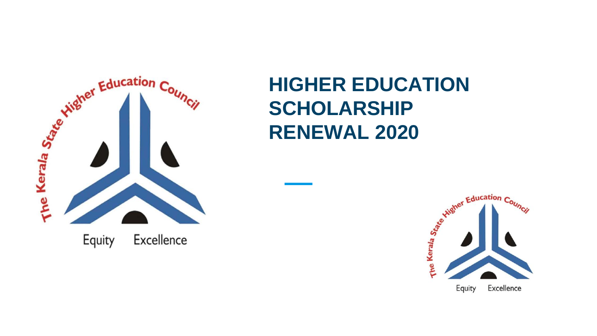

## **HIGHER EDUCATION SCHOLARSHIP RENEWAL 2020**

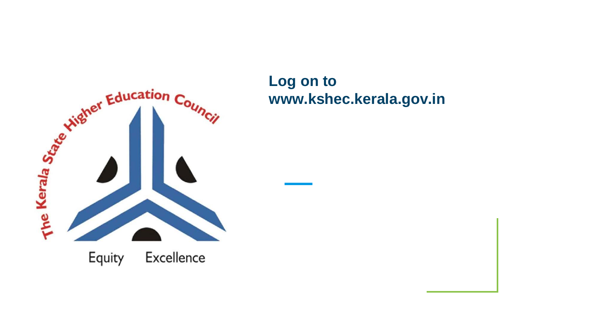

**Log on to www.kshec.kerala.gov.in**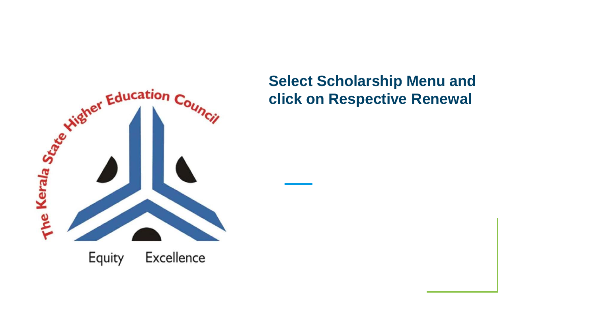

## **Select Scholarship Menu and click on Respective Renewal**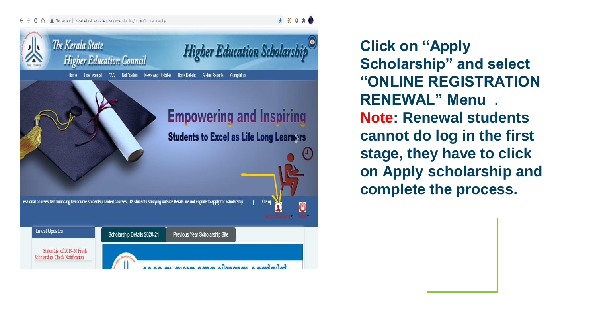## $\leftarrow$  $\rightarrow$  C  $\,\cap\,$  A Not secure | dcescholarship.kerala.gov.in/hescholarship/he ma/he maindx.php



\* @ Q \*

**Click on "Apply Scholarship" and select "ONLINE REGISTRATION RENEWAL" Menu . Note: Renewal students cannot do log in the first stage, they have to click on Apply scholarship and complete the process.**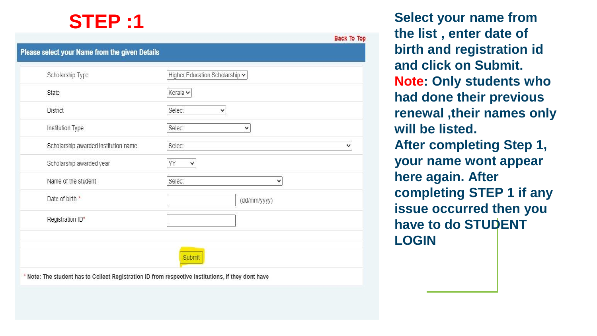## **STEP :1**

| Scholarship Type                     | Higher Education Scholarship v |
|--------------------------------------|--------------------------------|
| State                                | Kerala v                       |
| <b>District</b>                      | Select<br>$\checkmark$         |
| Institution Type                     | Select<br>v                    |
| Scholarship awarded institution name | Select                         |
| Scholarship awarded year             | YY<br>$\checkmark$             |
| Name of the student                  | Select<br>$\checkmark$         |
| Date of birth *                      | (dd/mm/yyyy)                   |
| Registration ID*                     |                                |

**Select your name from the list , enter date of birth and registration id and click on Submit. Note: Only students who had done their previous renewal ,their names only will be listed. After completing Step 1, your name wont appear here again. After completing STEP 1 if any issue occurred then you have to do STUDENT LOGIN**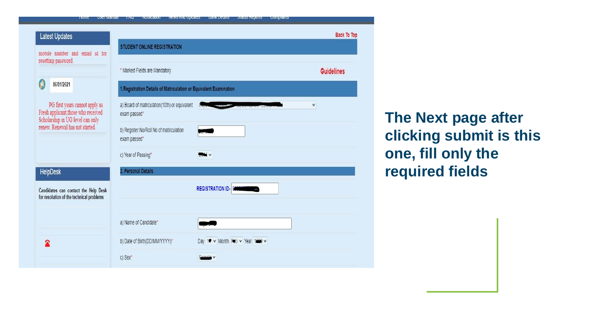| <b>INIK</b><br><b>USCI MANUAL</b>                                                                                                         | $1 \text{m}$<br><b>INVUINGUUT</b><br><b>INCWS ATIN OPUGICS</b>     | Dally Details<br><b>Dialus Reports</b><br><b>COMPRIMO</b> |                    |
|-------------------------------------------------------------------------------------------------------------------------------------------|--------------------------------------------------------------------|-----------------------------------------------------------|--------------------|
| <b>Latest Updates</b>                                                                                                                     | STUDENT ONLINE REGISTRATION                                        |                                                           | <b>Back To Top</b> |
| mobile number and email id for<br>resetting password.                                                                                     | * Marked Fields are Mandatory                                      |                                                           | <b>Guidelines</b>  |
| Á<br>06/01/2021                                                                                                                           | 1. Registration Details of Matriculation or Equivalent Examination |                                                           |                    |
| PG first years cannot apply as<br>Fresh applicant,<br>those who received Scholarship in UG level can only renew. Renewal has not started. | a) Board of matriculation(10th) or equivalent<br>exam passed*      |                                                           | $\checkmark$       |
|                                                                                                                                           | b) Register No/Roll No of matriculation<br>exam passed*            |                                                           |                    |
|                                                                                                                                           | c) Year of Passing*                                                | <b>ROOM</b> V                                             |                    |
| <b>HelpDesk</b>                                                                                                                           | 2. Personal Details                                                |                                                           |                    |
| Candidates can contact the Help Desk<br>for resolution of the technical problems                                                          |                                                                    | <b>REGISTRATION ID- 0</b>                                 |                    |
|                                                                                                                                           | a) Name of Candidate*                                              |                                                           |                    |
| 全                                                                                                                                         | b) Date of Birth(DD/MM/YYYY)*                                      | Day 1 v Month Feb v Year 1000 v                           |                    |
|                                                                                                                                           | c) Sex*                                                            |                                                           |                    |

**The Next page after clicking submit is this one, fill only the required fields**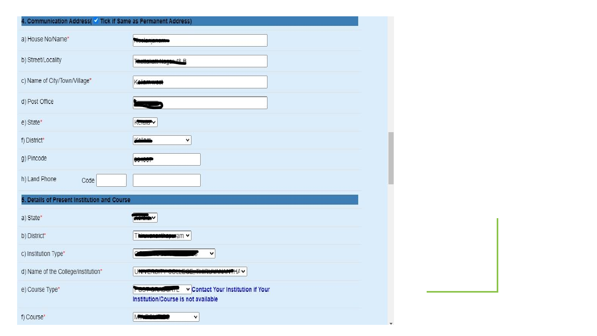| 4. Communication Address( V Tick if Same as Permanent Address) |                                                                           |
|----------------------------------------------------------------|---------------------------------------------------------------------------|
| a) House No/Name*                                              |                                                                           |
| b) Street/Locality                                             | 4.R B                                                                     |
| c) Name of City/Town/Village*                                  |                                                                           |
| d) Post Office                                                 |                                                                           |
| e) State*                                                      | Koraia <sup>V</sup>                                                       |
| f) District*                                                   | $\check{~}$                                                               |
| g) Pincode                                                     |                                                                           |
| h) Land Phone<br>Code                                          |                                                                           |
| 5. Details of Present Institution and Course                   |                                                                           |
| a) State*                                                      |                                                                           |
| b) District*                                                   | ram v                                                                     |
| c) Institution Type*                                           | v                                                                         |
| d) Name of the College/institution*                            |                                                                           |
| e) Course Type*                                                | v Contact Your Institution if Your<br>Institution/Course is not available |
| f) Course*                                                     | $\check{~}$                                                               |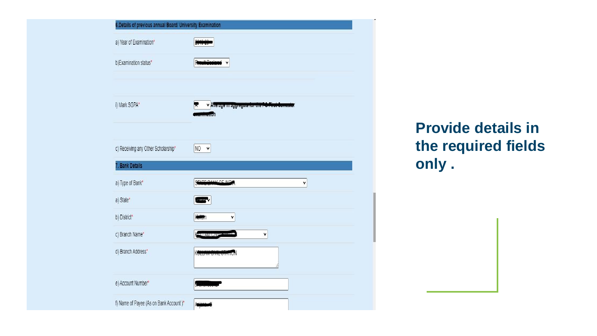| 6. Details of previous annual Board/ University Examination |                                                                |
|-------------------------------------------------------------|----------------------------------------------------------------|
| a) Year of Examination*                                     |                                                                |
| b)Examination status*                                       | ٧                                                              |
|                                                             |                                                                |
| i) Mark SGPA*                                               | v Average in aggregate for the POPirst Cen<br><b>Realistic</b> |
| c) Receiving any Other Scholarship*                         | NO<br>$\ddot{\phantom{1}}$                                     |
| 7. Bank Details                                             |                                                                |
| a) Type of Bank*                                            | <b>EATE DANIL OF IND</b><br>٧                                  |
| a) State*                                                   |                                                                |
| b) District*                                                | ٧<br><b>Kontail</b>                                            |
| c) Branch Name*                                             | $\checkmark$<br><b>TELENTIAL AND</b>                           |
| d) Branch Address*                                          | KOLLA                                                          |
| e) Account Number*                                          |                                                                |
| f) Name of Payee (As on Bank Account)*                      |                                                                |

**Provide details in the required fields only .**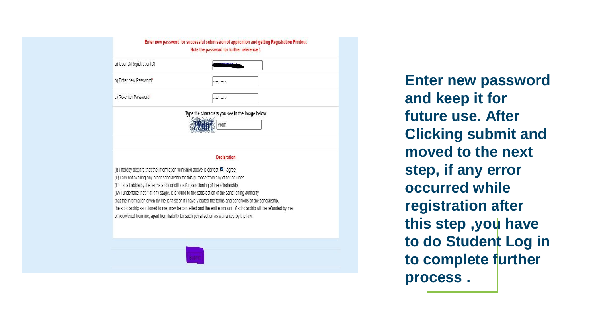|                           | Enter new password for successful submission of application and getting Registration Printout<br>Note the password for further reference !. |  |
|---------------------------|---------------------------------------------------------------------------------------------------------------------------------------------|--|
| a) UserID(RegistrationID) |                                                                                                                                             |  |
| b) Enter new Password*    |                                                                                                                                             |  |
| c) Re-enter Password*     |                                                                                                                                             |  |
|                           | Type the characters you see in the image below<br>79dnf                                                                                     |  |
|                           | <b>Declaration</b>                                                                                                                          |  |

(i) I hereby declare that the information furnished above is correct. <sup>(2)</sup> I agree (ii) I am not availing any other scholarship for this purpose from any other sources (iii) I shall abide by the terms and conditions for sanctioning of the scholarship (iv) I undertake that if at any stage, it is found to the satisfaction of the sanctioning authority that the information given by me is false or if I have violated the terms and conditions of the scholarship, the scholarship sanctioned to me, may be cancelled and the entire amount of scholarship will be refunded by me, or recovered from me, apart from liability for such penal action as warranted by the law.

**Enter new password and keep it for future use. After Clicking submit and moved to the next step, if any error occurred while registration after this step ,you have to do Student Log in to complete further process .**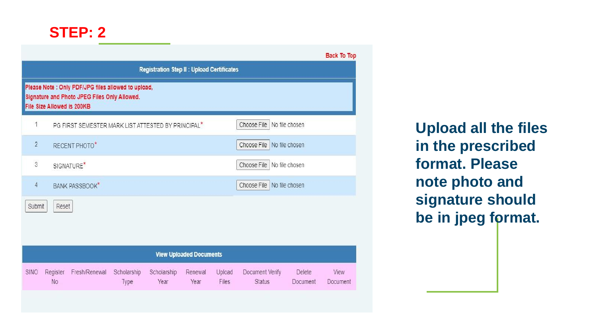|                |                            |                                                                                                     |                     |                                                   |                                |                 |                                  |                                  | <b>Back To Top</b> |
|----------------|----------------------------|-----------------------------------------------------------------------------------------------------|---------------------|---------------------------------------------------|--------------------------------|-----------------|----------------------------------|----------------------------------|--------------------|
|                |                            |                                                                                                     |                     | <b>Registration Step II : Upload Certificates</b> |                                |                 |                                  |                                  |                    |
|                | File Size Allowed is 200KB | Please Note : Only PDF/JPG files allowed to upload,<br>Signature and Photo JPEG Files Only Allowed. |                     |                                                   |                                |                 |                                  |                                  |                    |
| 1              |                            | PG FIRST SEMESTER MARK LIST ATTESTED BY PRINCIPAL <sup>*</sup>                                      |                     |                                                   |                                |                 | Choose File                      | No file chosen                   |                    |
| $\overline{2}$ |                            | RECENT PHOTO*                                                                                       |                     |                                                   |                                |                 | Choose File   No file chosen     |                                  |                    |
| $\overline{3}$ |                            | SIGNATURE <sup>*</sup>                                                                              |                     |                                                   |                                |                 | Choose File   No file chosen     |                                  |                    |
| $\overline{4}$ |                            | <b>BANK PASSBOOK</b> *                                                                              |                     |                                                   |                                |                 | Choose File   No file chosen     |                                  |                    |
| Submit         | Reset                      |                                                                                                     |                     |                                                   |                                |                 |                                  |                                  |                    |
|                |                            |                                                                                                     |                     |                                                   |                                |                 |                                  |                                  |                    |
|                |                            |                                                                                                     |                     |                                                   | <b>View Uploaded Documents</b> |                 |                                  |                                  |                    |
| <b>SINO</b>    | Register<br><b>No</b>      | Fresh/Renewal                                                                                       | Scholarship<br>Type | Scholarship<br>Year                               | Renewal<br>Year                | Upload<br>Files | Document Verify<br><b>Status</b> | <b>Delete</b><br><b>Document</b> | View<br>Document   |

**Upload all the files in the prescribed format. Please note photo and signature should be in jpeg format.**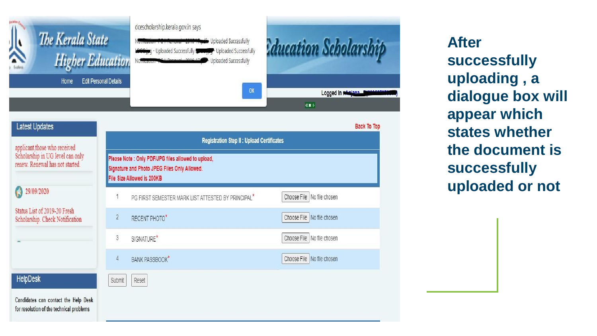

**After successfully uploading , a dialogue box will appear which states whether the document is successfully uploaded or not**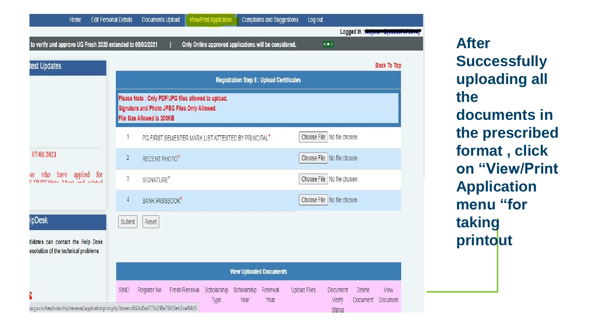| Home                                                                                         | <b>Edit Personal Details</b> | Documents Upload           |                                                                                                     | <b>View/Print Application</b>                         |                     | <b>Complaints and Suggestions</b>                 | Log out             |                                       |                    |                                            |
|----------------------------------------------------------------------------------------------|------------------------------|----------------------------|-----------------------------------------------------------------------------------------------------|-------------------------------------------------------|---------------------|---------------------------------------------------|---------------------|---------------------------------------|--------------------|--------------------------------------------|
|                                                                                              |                              |                            |                                                                                                     |                                                       |                     |                                                   |                     |                                       |                    | Logged In : ****************************** |
| to verify and approve UG Fresh 2020 extended to 05/03/2021                                   |                              |                            |                                                                                                     | Only Online approved applications will be considered. |                     |                                                   |                     | $\langle\langle \blacksquare \rangle$ |                    |                                            |
| test Updates                                                                                 |                              |                            |                                                                                                     |                                                       |                     |                                                   |                     |                                       |                    | <b>Back To Top</b>                         |
|                                                                                              |                              |                            |                                                                                                     |                                                       |                     | <b>Registration Step II : Upload Certificates</b> |                     |                                       |                    |                                            |
|                                                                                              |                              | File Size Allowed is 200KB | Please Note : Only PDF/JPG files allowed to upload,<br>Signature and Photo JPEG Files Only Allowed. |                                                       |                     |                                                   |                     |                                       |                    |                                            |
|                                                                                              | 1                            |                            | PG FIRST SEMESTER MARK LIST ATTESTED BY PRINCIPAL <sup>*</sup>                                      |                                                       |                     |                                                   |                     | Choose File   No file chosen          |                    |                                            |
| 07/01/2021                                                                                   | $\overline{2}$               | RECENT PHOTO*              |                                                                                                     |                                                       |                     |                                                   |                     | Choose File   No file chosen          |                    |                                            |
| se who have applied for                                                                      | 3                            | SIGNATURE <sup>*</sup>     |                                                                                                     |                                                       |                     |                                                   |                     | Choose File No file chosen            |                    |                                            |
|                                                                                              | $\overline{4}$               | <b>BANK PASSBOOK</b> *     |                                                                                                     |                                                       |                     |                                                   |                     | Choose File   No file chosen          |                    |                                            |
| <b>IpDesk</b>                                                                                | Submit                       | Reset                      |                                                                                                     |                                                       |                     |                                                   |                     |                                       |                    |                                            |
| didates can contact the Help Desk<br>esolution of the technical problems                     |                              |                            |                                                                                                     |                                                       |                     |                                                   |                     |                                       |                    |                                            |
|                                                                                              |                              |                            |                                                                                                     |                                                       |                     | <b>View Uploaded Documents</b>                    |                     |                                       |                    |                                            |
|                                                                                              | SINO                         | Register No                | Fresh/Renewal                                                                                       | Scholarship<br>Type                                   | Scholarship<br>Year | Renewal<br>Year                                   | <b>Upload Files</b> | Document<br>Verify                    | Delete<br>Document | View<br><b>Document</b>                    |
| Ila.gov.in/hescholarship/renewal/applicationprint.php?token=8b04d5e3775d298e78455efc5ca404d5 |                              |                            |                                                                                                     |                                                       |                     |                                                   |                     | <b>Status</b>                         |                    |                                            |

**After Successfully uploading all the documents in the prescribed format , click on "View/Print Application menu "for taking printout**